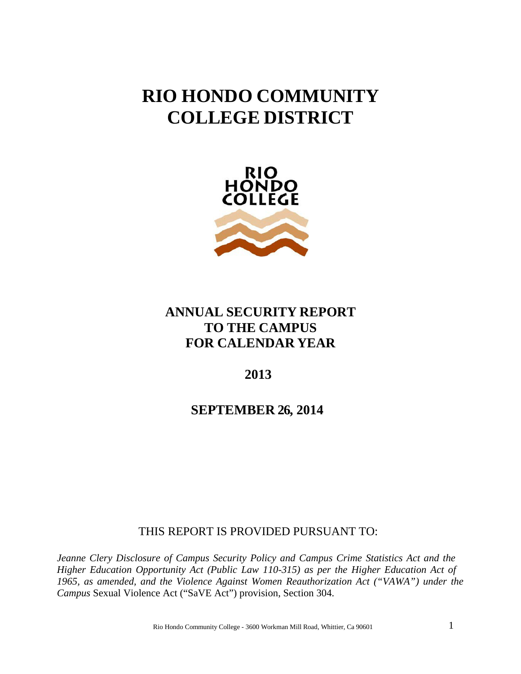# **RIO HONDO COMMUNITY COLLEGE DISTRICT**



# **ANNUAL SECURITY REPORT TO THE CAMPUS FOR CALENDAR YEAR**

# **2013**

**SEPTEMBER 26, 2014**

THIS REPORT IS PROVIDED PURSUANT TO:

*Jeanne Clery Disclosure of Campus Security Policy and Campus Crime Statistics Act and the Higher Education Opportunity Act (Public Law 110-315) as per the Higher Education Act of 1965, as amended, and the Violence Against Women Reauthorization Act ("VAWA") under the Campus* Sexual Violence Act ("SaVE Act") provision, Section 304.

Rio Hondo Community College - <sup>3600</sup> Workman Mill Road, Whittier, Ca <sup>90601</sup> 1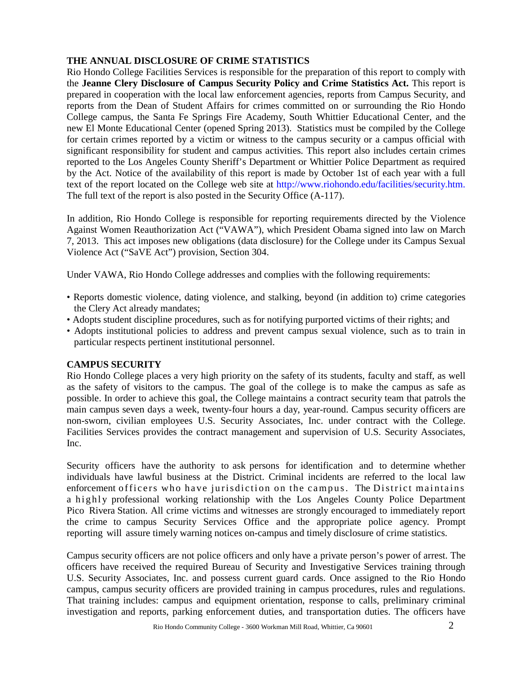# **THE ANNUAL DISCLOSURE OF CRIME STATISTICS**

Rio Hondo College Facilities Services is responsible for the preparation of this report to comply with the **Jeanne Clery Disclosure of Campus Security Policy and Crime Statistics Act.** This report is prepared in cooperation with the local law enforcement agencies, reports from Campus Security, and reports from the Dean of Student Affairs for crimes committed on or surrounding the Rio Hondo College campus, the Santa Fe Springs Fire Academy, South Whittier Educational Center, and the new El Monte Educational Center (opened Spring 2013). Statistics must be compiled by the College for certain crimes reported by a victim or witness to the campus security or a campus official with significant responsibility for student and campus activities. This report also includes certain crimes reported to the Los Angeles County Sheriff's Department or Whittier Police Department as required by the Act. Notice of the availability of this report is made by October 1st of each year with a full text of the report located on the College web site at [http://www.riohondo.edu/facilities/security.htm.](http://www.riohondo.edu/facilities/security.htm) The full text of the report is also posted in the Security Office (A-117).

In addition, Rio Hondo College is responsible for reporting requirements directed by the Violence Against Women Reauthorization Act ("VAWA"), which President Obama signed into law on March 7, 2013. This act imposes new obligations (data disclosure) for the College under its Campus Sexual Violence Act ("SaVE Act") provision, Section 304.

Under VAWA, Rio Hondo College addresses and complies with the following requirements:

- Reports domestic violence, dating violence, and stalking, beyond (in addition to) crime categories the Clery Act already mandates;
- Adopts student discipline procedures, such as for notifying purported victims of their rights; and
- Adopts institutional policies to address and prevent campus sexual violence, such as to train in particular respects pertinent institutional personnel.

# **CAMPUS SECURITY**

Rio Hondo College places a very high priority on the safety of its students, faculty and staff, as well as the safety of visitors to the campus. The goal of the college is to make the campus as safe as possible. In order to achieve this goal, the College maintains a contract security team that patrols the main campus seven days a week, twenty-four hours a day, year-round. Campus security officers are non-sworn, civilian employees U.S. Security Associates, Inc. under contract with the College. Facilities Services provides the contract management and supervision of U.S. Security Associates, Inc.

Security officers have the authority to ask persons for identification and to determine whether individuals have lawful business at the District. Criminal incidents are referred to the local law enforcement officers who have jurisdiction on the campus. The District maintains a highly professional working relationship with the Los Angeles County Police Department Pico Rivera Station. All crime victims and witnesses are strongly encouraged to immediately report the crime to campus Security Services Office and the appropriate police agency. Prompt reporting will assure timely warning notices on-campus and timely disclosure of crime statistics.

Campus security officers are not police officers and only have a private person's power of arrest. The officers have received the required Bureau of Security and Investigative Services training through U.S. Security Associates, Inc. and possess current guard cards. Once assigned to the Rio Hondo campus, campus security officers are provided training in campus procedures, rules and regulations. That training includes: campus and equipment orientation, response to calls, preliminary criminal investigation and reports, parking enforcement duties, and transportation duties. The officers have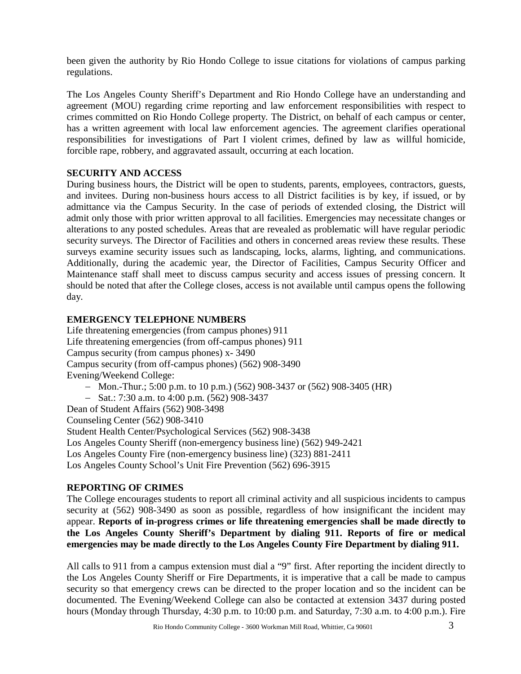been given the authority by Rio Hondo College to issue citations for violations of campus parking regulations.

The Los Angeles County Sheriff's Department and Rio Hondo College have an understanding and agreement (MOU) regarding crime reporting and law enforcement responsibilities with respect to crimes committed on Rio Hondo College property. The District, on behalf of each campus or center, has a written agreement with local law enforcement agencies. The agreement clarifies operational responsibilities for investigations of Part I violent crimes, defined by law as willful homicide, forcible rape, robbery, and aggravated assault, occurring at each location.

# **SECURITY AND ACCESS**

During business hours, the District will be open to students, parents, employees, contractors, guests, and invitees. During non-business hours access to all District facilities is by key, if issued, or by admittance via the Campus Security. In the case of periods of extended closing, the District will admit only those with prior written approval to all facilities. Emergencies may necessitate changes or alterations to any posted schedules. Areas that are revealed as problematic will have regular periodic security surveys. The Director of Facilities and others in concerned areas review these results. These surveys examine security issues such as landscaping, locks, alarms, lighting, and communications. Additionally, during the academic year, the Director of Facilities, Campus Security Officer and Maintenance staff shall meet to discuss campus security and access issues of pressing concern. It should be noted that after the College closes, access is not available until campus opens the following day.

# **EMERGENCY TELEPHONE NUMBERS**

Life threatening emergencies (from campus phones) 911 Life threatening emergencies (from off-campus phones) 911 Campus security (from campus phones) x- 3490 Campus security (from off-campus phones) (562) 908-3490 Evening/Weekend College:

- − Mon.-Thur.; 5:00 p.m. to 10 p.m.) (562) 908-3437 or (562) 908-3405 (HR)
- − Sat.: 7:30 a.m. to 4:00 p.m. (562) 908-3437

Dean of Student Affairs (562) 908-3498

Counseling Center (562) 908-3410

Student Health Center/Psychological Services (562) 908-3438

Los Angeles County Sheriff (non-emergency business line) (562) 949-2421

Los Angeles County Fire (non-emergency business line) (323) 881-2411

Los Angeles County School's Unit Fire Prevention (562) 696-3915

# **REPORTING OF CRIMES**

The College encourages students to report all criminal activity and all suspicious incidents to campus security at (562) 908-3490 as soon as possible, regardless of how insignificant the incident may appear. **Reports of in-progress crimes or life threatening emergencies shall be made directly to the Los Angeles County Sheriff's Department by dialing 911. Reports of fire or medical emergencies may be made directly to the Los Angeles County Fire Department by dialing 911.** 

All calls to 911 from a campus extension must dial a "9" first. After reporting the incident directly to the Los Angeles County Sheriff or Fire Departments, it is imperative that a call be made to campus security so that emergency crews can be directed to the proper location and so the incident can be documented. The Evening/Weekend College can also be contacted at extension 3437 during posted hours (Monday through Thursday, 4:30 p.m. to 10:00 p.m. and Saturday, 7:30 a.m. to 4:00 p.m.). Fire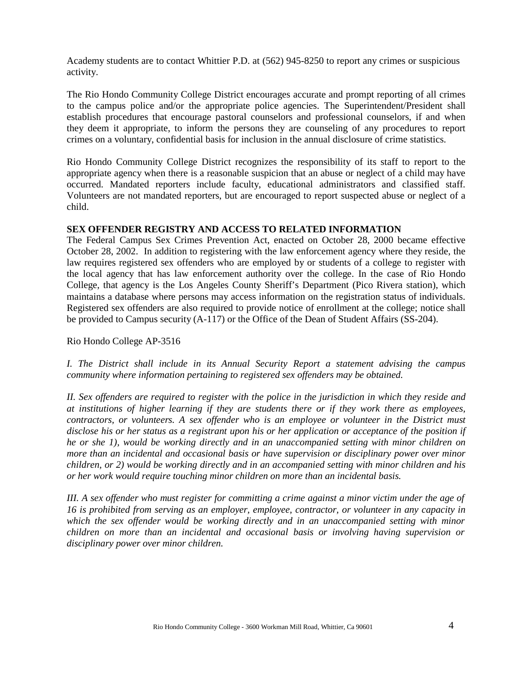Academy students are to contact Whittier P.D. at (562) 945-8250 to report any crimes or suspicious activity.

The Rio Hondo Community College District encourages accurate and prompt reporting of all crimes to the campus police and/or the appropriate police agencies. The Superintendent/President shall establish procedures that encourage pastoral counselors and professional counselors, if and when they deem it appropriate, to inform the persons they are counseling of any procedures to report crimes on a voluntary, confidential basis for inclusion in the annual disclosure of crime statistics.

Rio Hondo Community College District recognizes the responsibility of its staff to report to the appropriate agency when there is a reasonable suspicion that an abuse or neglect of a child may have occurred. Mandated reporters include faculty, educational administrators and classified staff. Volunteers are not mandated reporters, but are encouraged to report suspected abuse or neglect of a child.

#### **SEX OFFENDER REGISTRY AND ACCESS TO RELATED INFORMATION**

The Federal Campus Sex Crimes Prevention Act, enacted on October 28, 2000 became effective October 28, 2002. In addition to registering with the law enforcement agency where they reside, the law requires registered sex offenders who are employed by or students of a college to register with the local agency that has law enforcement authority over the college. In the case of Rio Hondo College, that agency is the Los Angeles County Sheriff's Department (Pico Rivera station), which maintains a database where persons may access information on the registration status of individuals. Registered sex offenders are also required to provide notice of enrollment at the college; notice shall be provided to Campus security (A-117) or the Office of the Dean of Student Affairs (SS-204).

Rio Hondo College AP-3516

*I. The District shall include in its Annual Security Report a statement advising the campus community where information pertaining to registered sex offenders may be obtained.*

II. Sex offenders are required to register with the police in the jurisdiction in which they reside and *at institutions of higher learning if they are students there or if they work there as employees, contractors, or volunteers. A sex offender who is an employee or volunteer in the District must*  disclose his or her status as a registrant upon his or her application or acceptance of the position if *he or she 1), would be working directly and in an unaccompanied setting with minor children on more than an incidental and occasional basis or have supervision or disciplinary power over minor children, or 2) would be working directly and in an accompanied setting with minor children and his or her work would require touching minor children on more than an incidental basis.*

III. A sex offender who must register for committing a crime against a minor victim under the age of *16 is prohibited from serving as an employer, employee, contractor, or volunteer in any capacity in which the sex offender would be working directly and in an unaccompanied setting with minor children on more than an incidental and occasional basis or involving having supervision or disciplinary power over minor children.*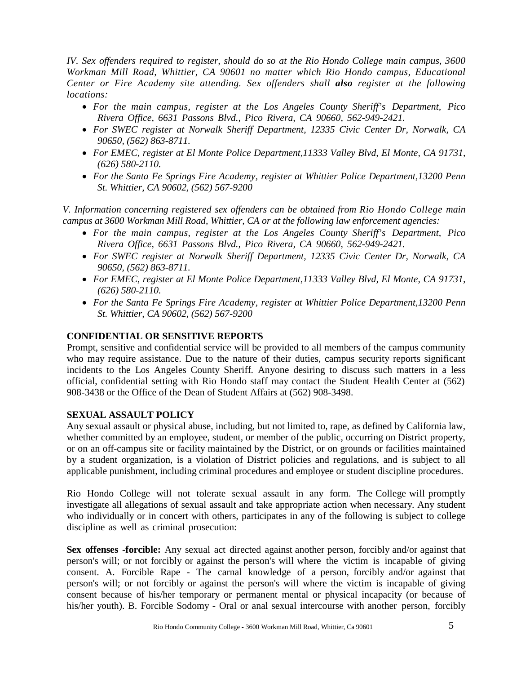*IV. Sex offenders required to register, should do so at the Rio Hondo College main campus, 3600*  Workman Mill Road, Whittier, CA 90601 no matter which Rio Hondo campus, Educational *Center or Fire Academy site attending. Sex offenders shall also register at the following locations:* 

- *For the main campus, register at the Los Angeles County Sheriff's Department, Pico Rivera Office, 6631 Passons Blvd., Pico Rivera, CA 90660, 562-949-2421.*
- *For SWEC register at Norwalk Sheriff Department, 12335 Civic Center Dr, Norwalk, CA 90650, (562) 863-8711.*
- *For EMEC, register at El Monte Police Department,11333 Valley Blvd, El Monte, CA 91731, (626) 580-2110.*
- *For the Santa Fe Springs Fire Academy, register at Whittier Police Department,13200 Penn St. Whittier, CA 90602, (562) 567-9200*

*V. Information concerning registered sex offenders can be obtained from Rio Hondo College main campus at 3600 Workman Mill Road, Whittier, CA or at the following law enforcement agencies:* 

- *For the main campus, register at the Los Angeles County Sheriff's Department, Pico Rivera Office, 6631 Passons Blvd., Pico Rivera, CA 90660, 562-949-2421.*
- *For SWEC register at Norwalk Sheriff Department, 12335 Civic Center Dr, Norwalk, CA 90650, (562) 863-8711.*
- *For EMEC, register at El Monte Police Department,11333 Valley Blvd, El Monte, CA 91731, (626) 580-2110.*
- *For the Santa Fe Springs Fire Academy, register at Whittier Police Department,13200 Penn St. Whittier, CA 90602, (562) 567-9200*

## **CONFIDENTIAL OR SENSITIVE REPORTS**

Prompt, sensitive and confidential service will be provided to all members of the campus community who may require assistance. Due to the nature of their duties, campus security reports significant incidents to the Los Angeles County Sheriff. Anyone desiring to discuss such matters in a less official, confidential setting with Rio Hondo staff may contact the Student Health Center at (562) 908-3438 or the Office of the Dean of Student Affairs at (562) 908-3498.

# **SEXUAL ASSAULT POLICY**

Any sexual assault or physical abuse, including, but not limited to, rape, as defined by California law, whether committed by an employee, student, or member of the public, occurring on District property, or on an off-campus site or facility maintained by the District, or on grounds or facilities maintained by a student organization, is a violation of District policies and regulations, and is subject to all applicable punishment, including criminal procedures and employee or student discipline procedures.

Rio Hondo College will not tolerate sexual assault in any form. The College will promptly investigate all allegations of sexual assault and take appropriate action when necessary. Any student who individually or in concert with others, participates in any of the following is subject to college discipline as well as criminal prosecution:

**Sex offenses -forcible:** Any sexual act directed against another person, forcibly and/or against that person's will; or not forcibly or against the person's will where the victim is incapable of giving consent. A. Forcible Rape - The carnal knowledge of a person, forcibly and/or against that person's will; or not forcibly or against the person's will where the victim is incapable of giving consent because of his/her temporary or permanent mental or physical incapacity (or because of his/her youth). B. Forcible Sodomy - Oral or anal sexual intercourse with another person, forcibly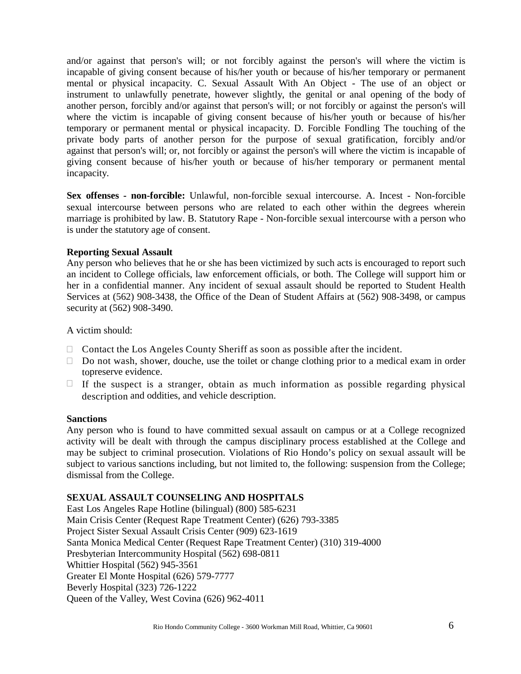and/or against that person's will; or not forcibly against the person's will where the victim is incapable of giving consent because of his/her youth or because of his/her temporary or permanent mental or physical incapacity. C. Sexual Assault With An Object - The use of an object or instrument to unlawfully penetrate, however slightly, the genital or anal opening of the body of another person, forcibly and/or against that person's will; or not forcibly or against the person's will where the victim is incapable of giving consent because of his/her youth or because of his/her temporary or permanent mental or physical incapacity. D. Forcible Fondling The touching of the private body parts of another person for the purpose of sexual gratification, forcibly and/or against that person's will; or, not forcibly or against the person's will where the victim is incapable of giving consent because of his/her youth or because of his/her temporary or permanent mental incapacity.

**Sex offenses - non-forcible:** Unlawful, non-forcible sexual intercourse. A. Incest - Non-forcible sexual intercourse between persons who are related to each other within the degrees wherein marriage is prohibited by law. B. Statutory Rape - Non-forcible sexual intercourse with a person who is under the statutory age of consent.

#### **Reporting Sexual Assault**

Any person who believes that he or she has been victimized by such acts is encouraged to report such an incident to College officials, law enforcement officials, or both. The College will support him or her in a confidential manner. Any incident of sexual assault should be reported to Student Health Services at (562) 908-3438, the Office of the Dean of Student Affairs at (562) 908-3498, or campus security at (562) 908-3490.

A victim should:

- $\Box$  Contact the Los Angeles County Sheriff as soon as possible after the incident.
- $\Box$  Do not wash, shower, douche, use the toilet or change clothing prior to a medical exam in order topreserve evidence.
- $\Box$  If the suspect is a stranger, obtain as much information as possible regarding physical description and oddities, and vehicle description.

#### **Sanctions**

Any person who is found to have committed sexual assault on campus or at a College recognized activity will be dealt with through the campus disciplinary process established at the College and may be subject to criminal prosecution. Violations of Rio Hondo's policy on sexual assault will be subject to various sanctions including, but not limited to, the following: suspension from the College; dismissal from the College.

#### **SEXUAL ASSAULT COUNSELING AND HOSPITALS**

East Los Angeles Rape Hotline (bilingual) (800) 585-6231 Main Crisis Center (Request Rape Treatment Center) (626) 793-3385 Project Sister Sexual Assault Crisis Center (909) 623-1619 Santa Monica Medical Center (Request Rape Treatment Center) (310) 319-4000 Presbyterian Intercommunity Hospital (562) 698-0811 Whittier Hospital (562) 945-3561 Greater El Monte Hospital (626) 579-7777 Beverly Hospital (323) 726-1222 Queen of the Valley, West Covina (626) 962-4011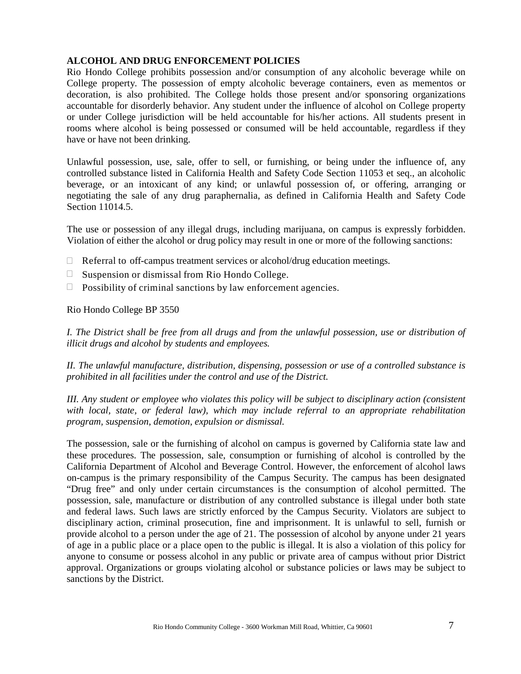#### **ALCOHOL AND DRUG ENFORCEMENT POLICIES**

Rio Hondo College prohibits possession and/or consumption of any alcoholic beverage while on College property. The possession of empty alcoholic beverage containers, even as mementos or decoration, is also prohibited. The College holds those present and/or sponsoring organizations accountable for disorderly behavior. Any student under the influence of alcohol on College property or under College jurisdiction will be held accountable for his/her actions. All students present in rooms where alcohol is being possessed or consumed will be held accountable, regardless if they have or have not been drinking.

Unlawful possession, use, sale, offer to sell, or furnishing, or being under the influence of, any controlled substance listed in California Health and Safety Code Section 11053 et seq., an alcoholic beverage, or an intoxicant of any kind; or unlawful possession of, or offering, arranging or negotiating the sale of any drug paraphernalia, as defined in California Health and Safety Code Section 11014.5.

The use or possession of any illegal drugs, including marijuana, on campus is expressly forbidden. Violation of either the alcohol or drug policy may result in one or more of the following sanctions:

- $\Box$  Referral to off-campus treatment services or alcohol/drug education meetings.
- $\Box$  Suspension or dismissal from Rio Hondo College.
- $\Box$  Possibility of criminal sanctions by law enforcement agencies.

Rio Hondo College BP 3550

*I. The District shall be free from all drugs and from the unlawful possession, use or distribution of illicit drugs and alcohol by students and employees.*

*II. The unlawful manufacture, distribution, dispensing, possession or use of a controlled substance is prohibited in all facilities under the control and use of the District.*

*III. Any student or employee who violates this policy will be subject to disciplinary action (consistent with local, state, or federal law), which may include referral to an appropriate rehabilitation program, suspension, demotion, expulsion or dismissal.*

The possession, sale or the furnishing of alcohol on campus is governed by California state law and these procedures. The possession, sale, consumption or furnishing of alcohol is controlled by the California Department of Alcohol and Beverage Control. However, the enforcement of alcohol laws on-campus is the primary responsibility of the Campus Security. The campus has been designated "Drug free" and only under certain circumstances is the consumption of alcohol permitted. The possession, sale, manufacture or distribution of any controlled substance is illegal under both state and federal laws. Such laws are strictly enforced by the Campus Security. Violators are subject to disciplinary action, criminal prosecution, fine and imprisonment. It is unlawful to sell, furnish or provide alcohol to a person under the age of 21. The possession of alcohol by anyone under 21 years of age in a public place or a place open to the public is illegal. It is also a violation of this policy for anyone to consume or possess alcohol in any public or private area of campus without prior District approval. Organizations or groups violating alcohol or substance policies or laws may be subject to sanctions by the District.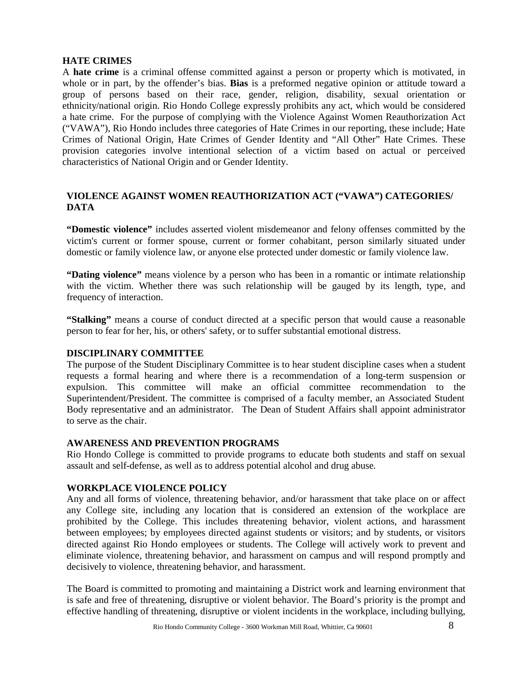## **HATE CRIMES**

A **hate crime** is a criminal offense committed against a person or property which is motivated, in whole or in part, by the offender's bias. **Bias** is a preformed negative opinion or attitude toward a group of persons based on their race, gender, religion, disability, sexual orientation or ethnicity/national origin. Rio Hondo College expressly prohibits any act, which would be considered a hate crime. For the purpose of complying with the Violence Against Women Reauthorization Act ("VAWA"), Rio Hondo includes three categories of Hate Crimes in our reporting, these include; Hate Crimes of National Origin, Hate Crimes of Gender Identity and "All Other" Hate Crimes. These provision categories involve intentional selection of a victim based on actual or perceived characteristics of National Origin and or Gender Identity.

# **VIOLENCE AGAINST WOMEN REAUTHORIZATION ACT ("VAWA") CATEGORIES/ DATA**

**"Domestic violence"** includes asserted violent misdemeanor and felony offenses committed by the victim's current or former spouse, current or former cohabitant, person similarly situated under domestic or family violence law, or anyone else protected under domestic or family violence law.

**"Dating violence"** means violence by a person who has been in a romantic or intimate relationship with the victim. Whether there was such relationship will be gauged by its length, type, and frequency of interaction.

**"Stalking"** means a course of conduct directed at a specific person that would cause a reasonable person to fear for her, his, or others' safety, or to suffer substantial emotional distress.

#### **DISCIPLINARY COMMITTEE**

The purpose of the Student Disciplinary Committee is to hear student discipline cases when a student requests a formal hearing and where there is a recommendation of a long-term suspension or expulsion. This committee will make an official committee recommendation to the Superintendent/President. The committee is comprised of a faculty member, an Associated Student Body representative and an administrator. The Dean of Student Affairs shall appoint administrator to serve as the chair.

#### **AWARENESS AND PREVENTION PROGRAMS**

Rio Hondo College is committed to provide programs to educate both students and staff on sexual assault and self-defense, as well as to address potential alcohol and drug abuse.

#### **WORKPLACE VIOLENCE POLICY**

Any and all forms of violence, threatening behavior, and/or harassment that take place on or affect any College site, including any location that is considered an extension of the workplace are prohibited by the College. This includes threatening behavior, violent actions, and harassment between employees; by employees directed against students or visitors; and by students, or visitors directed against Rio Hondo employees or students. The College will actively work to prevent and eliminate violence, threatening behavior, and harassment on campus and will respond promptly and decisively to violence, threatening behavior, and harassment.

The Board is committed to promoting and maintaining a District work and learning environment that is safe and free of threatening, disruptive or violent behavior. The Board's priority is the prompt and effective handling of threatening, disruptive or violent incidents in the workplace, including bullying,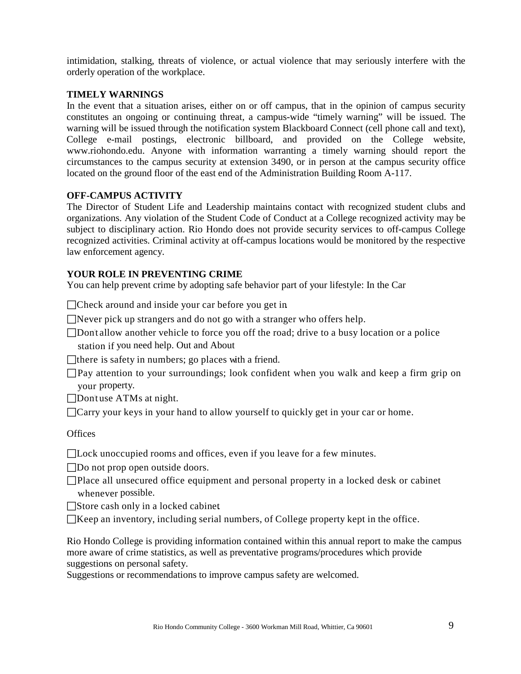intimidation, stalking, threats of violence, or actual violence that may seriously interfere with the orderly operation of the workplace.

#### **TIMELY WARNINGS**

In the event that a situation arises, either on or off campus, that in the opinion of campus security constitutes an ongoing or continuing threat, a campus-wide "timely warning" will be issued. The warning will be issued through the notification system Blackboard Connect (cell phone call and text), College e-mail postings, electronic billboard, and provided on the College website[,](http://www.riohondo.edu/) [www.riohondo.edu.](http://www.riohondo.edu/) Anyone with information warranting a timely warning should report the circumstances to the campus security at extension 3490, or in person at the campus security office located on the ground floor of the east end of the Administration Building Room A-117.

#### **OFF-CAMPUS ACTIVITY**

The Director of Student Life and Leadership maintains contact with recognized student clubs and organizations. Any violation of the Student Code of Conduct at a College recognized activity may be subject to disciplinary action. Rio Hondo does not provide security services to off-campus College recognized activities. Criminal activity at off-campus locations would be monitored by the respective law enforcement agency.

#### **YOUR ROLE IN PREVENTING CRIME**

You can help prevent crime by adopting safe behavior part of your lifestyle: In the Car

□ Check around and inside your car before you get in.

 $\Box$  Never pick up strangers and do not go with a stranger who offers help.

Don't allow another vehicle to force you off the road; drive to a busy location or a police station if you need help. Out and About

There is safety in numbers; go places with a friend.

 $\Box$  Pay attention to your surroundings; look confident when you walk and keep a firm grip on your property.

Don't use ATMs at night.

 $\Box$  Carry your keys in your hand to allow yourself to quickly get in your car or home.

#### **Offices**

Lock unoccupied rooms and offices, even if you leave for a few minutes.

□Do not prop open outside doors.

Place all unsecured office equipment and personal property in a locked desk or cabinet whenever possible.

 $\Box$ Store cash only in a locked cabinet.

 $\Box$ Keep an inventory, including serial numbers, of College property kept in the office.

Rio Hondo College is providing information contained within this annual report to make the campus more aware of crime statistics, as well as preventative programs/procedures which provide suggestions on personal safety.

Suggestions or recommendations to improve campus safety are welcomed.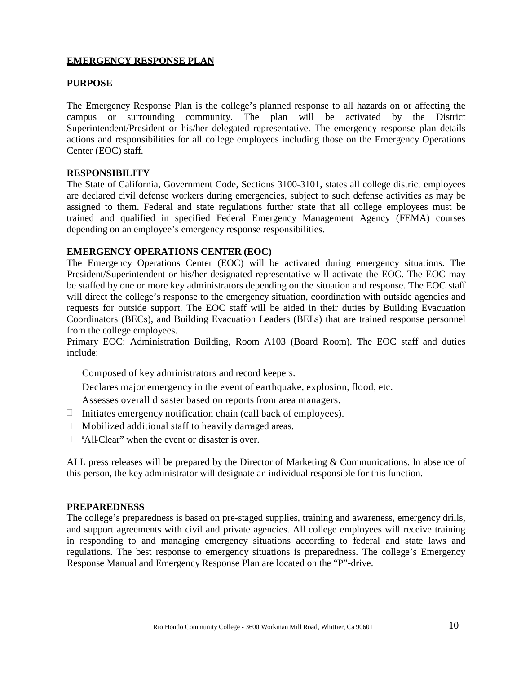# **EMERGENCY RESPONSE PLAN**

#### **PURPOSE**

The Emergency Response Plan is the college's planned response to all hazards on or affecting the campus or surrounding community. The plan will be activated by the District Superintendent/President or his/her delegated representative. The emergency response plan details actions and responsibilities for all college employees including those on the Emergency Operations Center (EOC) staff.

#### **RESPONSIBILITY**

The State of California, Government Code, Sections 3100-3101, states all college district employees are declared civil defense workers during emergencies, subject to such defense activities as may be assigned to them. Federal and state regulations further state that all college employees must be trained and qualified in specified Federal Emergency Management Agency (FEMA) courses depending on an employee's emergency response responsibilities.

#### **EMERGENCY OPERATIONS CENTER (EOC)**

The Emergency Operations Center (EOC) will be activated during emergency situations. The President/Superintendent or his/her designated representative will activate the EOC. The EOC may be staffed by one or more key administrators depending on the situation and response. The EOC staff will direct the college's response to the emergency situation, coordination with outside agencies and requests for outside support. The EOC staff will be aided in their duties by Building Evacuation Coordinators (BECs), and Building Evacuation Leaders (BELs) that are trained response personnel from the college employees.

Primary EOC: Administration Building, Room A103 (Board Room). The EOC staff and duties include:

- $\Box$  Composed of key administrators and record keepers.
- $\Box$  Declares major emergency in the event of earthquake, explosion, flood, etc.
- $\Box$  Assesses overall disaster based on reports from area managers.
- $\Box$  Initiates emergency notification chain (call back of employees).
- $\Box$  Mobilized additional staff to heavily damaged areas.
- $\Box$  "All-Clear" when the event or disaster is over.

ALL press releases will be prepared by the Director of Marketing & Communications. In absence of this person, the key administrator will designate an individual responsible for this function.

#### **PREPAREDNESS**

The college's preparedness is based on pre-staged supplies, training and awareness, emergency drills, and support agreements with civil and private agencies. All college employees will receive training in responding to and managing emergency situations according to federal and state laws and regulations. The best response to emergency situations is preparedness. The college's Emergency Response Manual and Emergency Response Plan are located on the "P"-drive.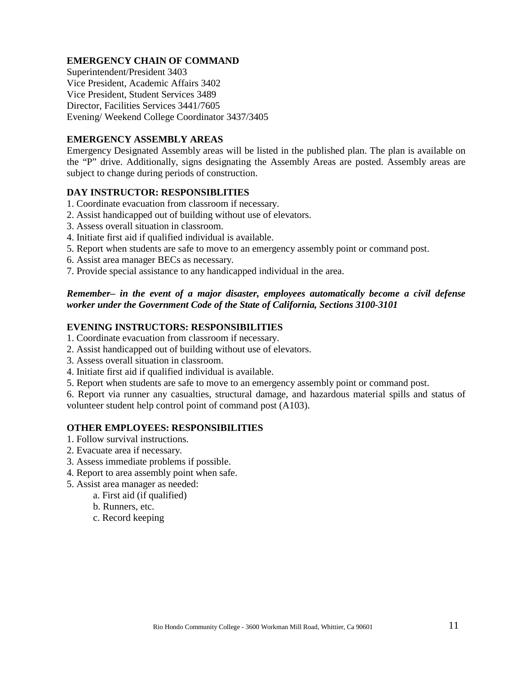# **EMERGENCY CHAIN OF COMMAND**

Superintendent/President 3403 Vice President, Academic Affairs 3402 Vice President, Student Services 3489 Director, Facilities Services 3441/7605 Evening/ Weekend College Coordinator 3437/3405

#### **EMERGENCY ASSEMBLY AREAS**

Emergency Designated Assembly areas will be listed in the published plan. The plan is available on the "P" drive. Additionally, signs designating the Assembly Areas are posted. Assembly areas are subject to change during periods of construction.

### **DAY INSTRUCTOR: RESPONSIBLITIES**

- 1. Coordinate evacuation from classroom if necessary.
- 2. Assist handicapped out of building without use of elevators.
- 3. Assess overall situation in classroom.
- 4. Initiate first aid if qualified individual is available.
- 5. Report when students are safe to move to an emergency assembly point or command post.
- 6. Assist area manager BECs as necessary.
- 7. Provide special assistance to any handicapped individual in the area.

#### *Remember– in the event of a major disaster, employees automatically become a civil defense worker under the Government Code of the State of California, Sections 3100-3101*

#### **EVENING INSTRUCTORS: RESPONSIBILITIES**

- 1. Coordinate evacuation from classroom if necessary.
- 2. Assist handicapped out of building without use of elevators.
- 3. Assess overall situation in classroom.
- 4. Initiate first aid if qualified individual is available.
- 5. Report when students are safe to move to an emergency assembly point or command post.

6. Report via runner any casualties, structural damage, and hazardous material spills and status of volunteer student help control point of command post (A103).

#### **OTHER EMPLOYEES: RESPONSIBILITIES**

- 1. Follow survival instructions.
- 2. Evacuate area if necessary.
- 3. Assess immediate problems if possible.
- 4. Report to area assembly point when safe.
- 5. Assist area manager as needed:
	- a. First aid (if qualified)
	- b. Runners, etc.
	- c. Record keeping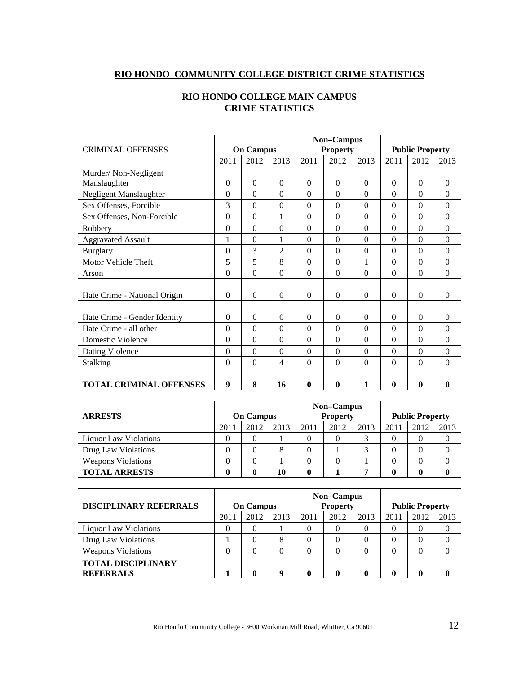# **RIO HONDO COMMUNITY COLLEGE DISTRICT CRIME STATISTICS**

|                                |          |                  |                |                  | Non-Campus       |              |          |                        |                  |  |
|--------------------------------|----------|------------------|----------------|------------------|------------------|--------------|----------|------------------------|------------------|--|
| <b>CRIMINAL OFFENSES</b>       |          | <b>On Campus</b> |                |                  | <b>Property</b>  |              |          | <b>Public Property</b> |                  |  |
|                                | 2011     | 2012             | 2013           | 2011             | 2012             | 2013         | 2011     | 2012                   | 2013             |  |
| Murder/Non-Negligent           |          |                  |                |                  |                  |              |          |                        |                  |  |
| Manslaughter                   | $\Omega$ | $\Omega$         | $\Omega$       | $\Omega$         | $\Omega$         | $\Omega$     | $\Omega$ | $\Omega$               | $\Omega$         |  |
| Negligent Manslaughter         | $\theta$ | $\theta$         | $\theta$       | $\theta$         | $\theta$         | $\theta$     | $\theta$ | $\Omega$               | $\Omega$         |  |
| Sex Offenses, Forcible         | 3        | $\theta$         | $\theta$       | $\boldsymbol{0}$ | $\theta$         | $\mathbf{0}$ | $\Omega$ | $\Omega$               | $\boldsymbol{0}$ |  |
| Sex Offenses, Non-Forcible     | $\theta$ | $\theta$         | 1              | $\theta$         | $\theta$         | $\theta$     | $\Omega$ | $\Omega$               | $\Omega$         |  |
| Robbery                        | $\theta$ | $\Omega$         | $\theta$       | $\theta$         | $\theta$         | $\theta$     | $\theta$ | $\Omega$               | $\Omega$         |  |
| <b>Aggravated Assault</b>      | 1        | $\mathbf{0}$     | 1              | $\Omega$         | $\theta$         | $\theta$     | $\Omega$ | $\Omega$               | $\Omega$         |  |
| <b>Burglary</b>                | $\theta$ | 3                | $\overline{c}$ | $\theta$         | $\theta$         | $\theta$     | $\theta$ | $\Omega$               | $\Omega$         |  |
| Motor Vehicle Theft            | 5        | 5                | 8              | $\theta$         | $\theta$         | 1            | $\theta$ | $\Omega$               | $\Omega$         |  |
| Arson                          | $\Omega$ | $\mathbf{0}$     | $\theta$       | $\Omega$         | $\boldsymbol{0}$ | $\Omega$     | $\Omega$ | $\Omega$               | $\Omega$         |  |
|                                |          |                  |                |                  |                  |              |          |                        |                  |  |
| Hate Crime - National Origin   | $\Omega$ | $\Omega$         | $\Omega$       | $\Omega$         | $\theta$         | $\Omega$     | $\Omega$ | $\Omega$               | $\Omega$         |  |
|                                |          |                  |                |                  |                  |              |          |                        |                  |  |
| Hate Crime - Gender Identity   | $\Omega$ | $\Omega$         | $\Omega$       | $\Omega$         | $\theta$         | $\theta$     | $\Omega$ | $\Omega$               | $\Omega$         |  |
| Hate Crime - all other         | $\theta$ | $\theta$         | $\Omega$       | $\theta$         | $\theta$         | $\theta$     | $\theta$ | $\Omega$               | $\Omega$         |  |
| Domestic Violence              | $\theta$ | $\theta$         | $\theta$       | $\Omega$         | $\theta$         | $\Omega$     | $\Omega$ | $\Omega$               | $\Omega$         |  |
| Dating Violence                | $\theta$ | $\Omega$         | $\Omega$       | $\Omega$         | $\theta$         | $\Omega$     | $\theta$ | $\Omega$               | $\Omega$         |  |
| <b>Stalking</b>                | $\theta$ | $\Omega$         | 4              | $\theta$         | $\theta$         | $\theta$     | $\theta$ | $\Omega$               | $\Omega$         |  |
|                                |          |                  |                |                  |                  |              |          |                        |                  |  |
| <b>TOTAL CRIMINAL OFFENSES</b> | 9        | 8                | 16             | 0                | 0                | 1            | $\bf{0}$ | $\mathbf{0}$           | $\mathbf{0}$     |  |

## **RIO HONDO COLLEGE MAIN CAMPUS CRIME STATISTICS**

|                              |                      |          |    |      | Non-Campus      |      |      |                        |      |
|------------------------------|----------------------|----------|----|------|-----------------|------|------|------------------------|------|
| <b>ARRESTS</b>               | <b>On Campus</b>     |          |    |      | <b>Property</b> |      |      | <b>Public Property</b> |      |
|                              | 2013<br>2012<br>2011 |          |    | 2011 | 2012            | 2013 | 2011 | 2012                   | 2013 |
| <b>Liquor Law Violations</b> |                      | $\theta$ |    |      | 0               |      |      |                        |      |
| Drug Law Violations          |                      | $\theta$ | 8  |      |                 |      |      |                        |      |
| <b>Weapons Violations</b>    |                      | $\theta$ |    |      |                 |      |      |                        |      |
| <b>TOTAL ARRESTS</b>         |                      |          | 10 |      |                 | −    |      |                        |      |

| <b>DISCIPLINARY REFERRALS</b>                 | <b>On Campus</b>     |   |   |      | Non-Campus<br><b>Property</b> |      | <b>Public Property</b> |          |      |  |
|-----------------------------------------------|----------------------|---|---|------|-------------------------------|------|------------------------|----------|------|--|
|                                               | 2011<br>2012<br>2013 |   |   | 2011 | 2012                          | 2013 | 2011                   | 2012     | 2013 |  |
| <b>Liquor Law Violations</b>                  |                      |   |   |      |                               |      |                        |          |      |  |
| Drug Law Violations                           |                      |   | 8 |      |                               |      |                        |          |      |  |
| <b>Weapons Violations</b>                     |                      |   |   |      | 0                             |      |                        | $\left($ |      |  |
| <b>TOTAL DISCIPLINARY</b><br><b>REFERRALS</b> |                      | 0 |   |      |                               |      |                        |          |      |  |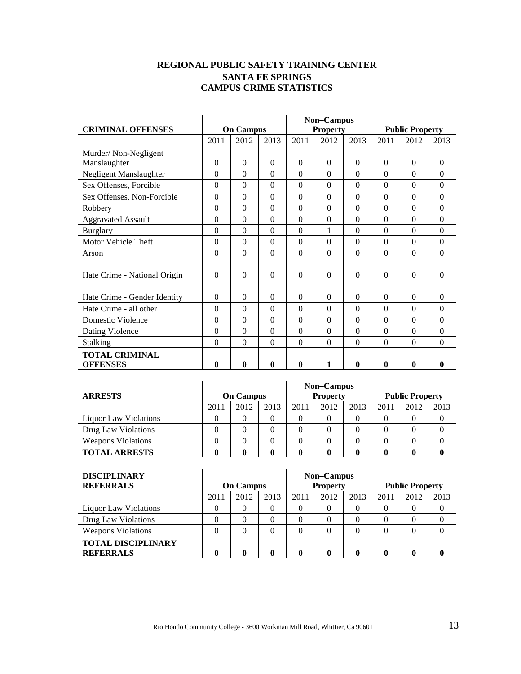# **REGIONAL PUBLIC SAFETY TRAINING CENTER SANTA FE SPRINGS CAMPUS CRIME STATISTICS**

|                              | <b>On Campus</b> |              |                  |                  | Non-Campus      |              | <b>Public Property</b> |              |                  |  |
|------------------------------|------------------|--------------|------------------|------------------|-----------------|--------------|------------------------|--------------|------------------|--|
| <b>CRIMINAL OFFENSES</b>     |                  |              |                  |                  | <b>Property</b> |              |                        |              |                  |  |
|                              | 2011             | 2012         | 2013             | 2011             | 2012            | 2013         | 2011                   | 2012         | 2013             |  |
| Murder/Non-Negligent         |                  |              |                  |                  |                 |              |                        |              |                  |  |
| Manslaughter                 | $\theta$         | $\Omega$     | $\Omega$         | $\theta$         | $\Omega$        | $\theta$     | $\theta$               | $\Omega$     | $\Omega$         |  |
| Negligent Manslaughter       | $\theta$         | $\Omega$     | $\Omega$         | $\Omega$         | $\theta$        | $\theta$     | $\Omega$               | $\Omega$     | $\Omega$         |  |
| Sex Offenses, Forcible       | $\theta$         | $\Omega$     | $\Omega$         | $\theta$         | $\Omega$        | $\Omega$     | $\Omega$               | $\Omega$     | $\Omega$         |  |
| Sex Offenses, Non-Forcible   | $\theta$         | $\Omega$     | $\boldsymbol{0}$ | $\boldsymbol{0}$ | $\theta$        | $\theta$     | $\Omega$               | $\Omega$     | $\boldsymbol{0}$ |  |
| Robbery                      | $\theta$         | $\Omega$     | $\theta$         | $\theta$         | $\theta$        | $\theta$     | $\Omega$               | $\Omega$     | $\Omega$         |  |
| <b>Aggravated Assault</b>    | $\theta$         | $\Omega$     | $\theta$         | $\Omega$         | $\theta$        | $\Omega$     | $\Omega$               | $\Omega$     | $\Omega$         |  |
| <b>Burglary</b>              | $\theta$         | $\Omega$     | $\theta$         | $\overline{0}$   | 1               | $\theta$     | $\theta$               | $\theta$     | $\mathbf{0}$     |  |
| Motor Vehicle Theft          | $\theta$         | $\Omega$     | $\Omega$         | $\Omega$         | $\theta$        | $\theta$     | $\Omega$               | $\Omega$     | $\Omega$         |  |
| Arson                        | $\Omega$         | $\Omega$     | $\Omega$         | $\Omega$         | $\Omega$        | $\Omega$     | $\Omega$               | $\Omega$     | $\Omega$         |  |
|                              |                  |              |                  |                  |                 |              |                        |              |                  |  |
| Hate Crime - National Origin | $\Omega$         | $\Omega$     | $\Omega$         | $\Omega$         | $\Omega$        | $\Omega$     | $\Omega$               | $\Omega$     | $\Omega$         |  |
|                              |                  |              |                  |                  |                 |              |                        |              |                  |  |
| Hate Crime - Gender Identity | $\theta$         | $\Omega$     | $\Omega$         | $\Omega$         | $\Omega$        | $\theta$     | $\Omega$               | $\Omega$     | $\Omega$         |  |
| Hate Crime - all other       | $\theta$         | $\Omega$     | $\Omega$         | $\Omega$         | $\Omega$        | $\Omega$     | $\Omega$               | $\Omega$     | $\Omega$         |  |
| <b>Domestic Violence</b>     | $\theta$         | $\Omega$     | $\Omega$         | $\Omega$         | $\Omega$        | $\Omega$     | $\Omega$               | $\Omega$     | $\Omega$         |  |
| Dating Violence              | $\Omega$         | $\Omega$     | $\Omega$         | $\Omega$         | $\Omega$        | $\Omega$     | $\Omega$               | $\Omega$     | $\Omega$         |  |
| Stalking                     | $\theta$         | $\Omega$     | $\Omega$         | $\Omega$         | $\theta$        | $\theta$     | $\theta$               | $\Omega$     | $\theta$         |  |
| <b>TOTAL CRIMINAL</b>        |                  |              |                  |                  |                 |              |                        |              |                  |  |
| <b>OFFENSES</b>              | $\mathbf{0}$     | $\mathbf{0}$ | $\mathbf{0}$     | 0                | 1               | $\mathbf{0}$ | $\mathbf{0}$           | $\mathbf{0}$ | 0                |  |

|                           |                      |  |  |      | Non-Campus      |      |      |                        |      |
|---------------------------|----------------------|--|--|------|-----------------|------|------|------------------------|------|
| <b>ARRESTS</b>            | <b>On Campus</b>     |  |  |      | <b>Property</b> |      |      | <b>Public Property</b> |      |
|                           | 2012<br>2013<br>2011 |  |  | 2011 | 2012            | 2013 | 2011 | 2012                   | 2013 |
| Liquor Law Violations     |                      |  |  |      |                 |      |      |                        |      |
| Drug Law Violations       |                      |  |  |      |                 |      |      |                        |      |
| <b>Weapons Violations</b> |                      |  |  |      |                 |      |      |                        |      |
| <b>TOTAL ARRESTS</b>      |                      |  |  |      |                 |      |      |                        |      |

| <b>DISCIPLINARY</b><br><b>REFERRALS</b>       | <b>On Campus</b> |      |                  |      | Non-Campus<br><b>Property</b> |      | <b>Public Property</b> |      |      |  |
|-----------------------------------------------|------------------|------|------------------|------|-------------------------------|------|------------------------|------|------|--|
|                                               | 2011             | 2012 | 2013             | 2011 | 2012                          | 2013 | 2011                   | 2012 | 2013 |  |
| <b>Liquor Law Violations</b>                  | $\theta$         |      | 0                | 0    | $\theta$                      | 0    |                        |      |      |  |
| Drug Law Violations                           | 0                |      | $\left( \right)$ | 0    | 0                             | 0    |                        |      |      |  |
| <b>Weapons Violations</b>                     | 0                |      | 0                | 0    |                               | 0    |                        |      |      |  |
| <b>TOTAL DISCIPLINARY</b><br><b>REFERRALS</b> |                  |      | ſ                | 0    | 0                             |      |                        |      |      |  |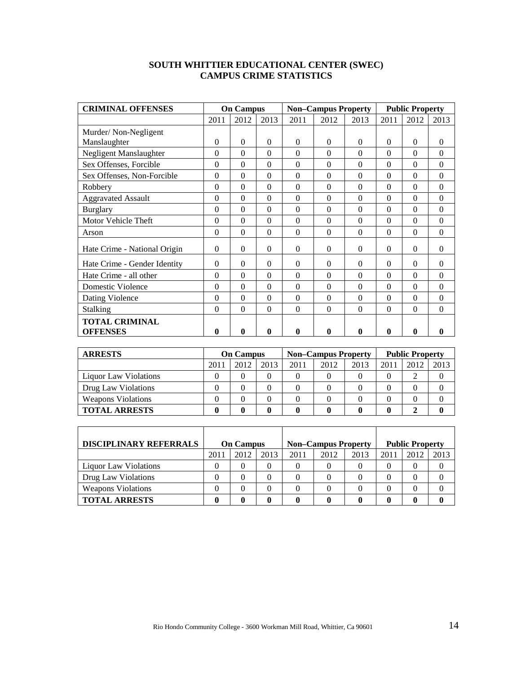# **SOUTH WHITTIER EDUCATIONAL CENTER (SWEC) CAMPUS CRIME STATISTICS**

| <b>CRIMINAL OFFENSES</b>                 |              | <b>On Campus</b> |                |          | <b>Non-Campus Property</b> |          |              | <b>Public Property</b> |          |
|------------------------------------------|--------------|------------------|----------------|----------|----------------------------|----------|--------------|------------------------|----------|
|                                          | 2011         | 2012             | 2013           | 2011     | 2012                       | 2013     | 2011         | 2012                   | 2013     |
| Murder/Non-Negligent                     |              |                  |                |          |                            |          |              |                        |          |
| Manslaughter                             | $\Omega$     | $\Omega$         | $\Omega$       | $\Omega$ | $\Omega$                   | $\Omega$ | $\theta$     | $\Omega$               | 0        |
| Negligent Manslaughter                   | $\Omega$     | $\Omega$         | $\Omega$       | $\Omega$ | $\Omega$                   | $\Omega$ | $\Omega$     | $\Omega$               | $\Omega$ |
| Sex Offenses, Forcible                   | $\theta$     | $\Omega$         | $\theta$       | $\theta$ | $\theta$                   | $\theta$ | $\theta$     | $\Omega$               | $\Omega$ |
| Sex Offenses, Non-Forcible               | $\theta$     | $\Omega$         | $\theta$       | $\theta$ | $\theta$                   | $\theta$ | $\theta$     | $\Omega$               | $\theta$ |
| Robbery                                  | 0            | $\Omega$         | $\Omega$       | $\theta$ | $\theta$                   | $\theta$ | $\theta$     | $\Omega$               | $\Omega$ |
| <b>Aggravated Assault</b>                | $\Omega$     | $\Omega$         | $\Omega$       | $\Omega$ | $\Omega$                   | $\theta$ | $\Omega$     | $\Omega$               | $\Omega$ |
| <b>Burglary</b>                          | $\Omega$     | $\Omega$         | $\overline{0}$ | $\Omega$ | $\theta$                   | $\Omega$ | $\Omega$     | $\Omega$               | $\Omega$ |
| Motor Vehicle Theft                      | $\Omega$     | $\Omega$         | $\Omega$       | $\Omega$ | $\theta$                   | $\theta$ | $\theta$     | $\Omega$               | $\Omega$ |
| Arson                                    | $\theta$     | $\Omega$         | $\theta$       | $\Omega$ | $\theta$                   | $\Omega$ | $\theta$     | $\Omega$               | $\Omega$ |
| Hate Crime - National Origin             | $\Omega$     | $\Omega$         | $\theta$       | $\Omega$ | $\Omega$                   | $\Omega$ | $\theta$     | $\Omega$               | 0        |
| Hate Crime - Gender Identity             | $\Omega$     | $\Omega$         | $\Omega$       | $\Omega$ | $\Omega$                   | $\theta$ | $\Omega$     | $\Omega$               | $\Omega$ |
| Hate Crime - all other                   | $\theta$     | $\Omega$         | $\theta$       | $\theta$ | $\Omega$                   | $\theta$ | $\theta$     | $\Omega$               | $\Omega$ |
| Domestic Violence                        | $\theta$     | $\Omega$         | $\Omega$       | $\Omega$ | $\theta$                   | $\Omega$ | $\Omega$     | $\Omega$               | $\Omega$ |
| Dating Violence                          | $\theta$     | $\Omega$         | $\theta$       | $\theta$ | $\theta$                   | $\theta$ | $\theta$     | $\Omega$               | $\Omega$ |
| Stalking                                 | $\theta$     | $\Omega$         | $\theta$       | $\theta$ | $\theta$                   | $\theta$ | $\theta$     | $\Omega$               | $\Omega$ |
| <b>TOTAL CRIMINAL</b><br><b>OFFENSES</b> | $\mathbf{0}$ | 0                | 0              | 0        | $\mathbf{0}$               | 0        | $\mathbf{0}$ | 0                      | 0        |

| <b>ARRESTS</b>            |      | <b>On Campus</b> |      |          | <b>Non–Campus Property</b> |      | <b>Public Property</b> |      |      |
|---------------------------|------|------------------|------|----------|----------------------------|------|------------------------|------|------|
|                           | 2011 | 2012             | 2013 | 2011     | 2012                       | 2013 | 2011                   | 2012 | 2013 |
| Liquor Law Violations     |      |                  |      | 0        |                            |      |                        |      |      |
| Drug Law Violations       |      |                  |      | $\Omega$ |                            |      |                        |      |      |
| <b>Weapons Violations</b> |      |                  |      |          |                            |      |                        |      |      |
| <b>TOTAL ARRESTS</b>      |      |                  |      |          |                            |      |                        |      |      |

| <b>DISCIPLINARY REFERRALS</b> | <b>On Campus</b> |      |      |      | <b>Non–Campus Property</b> |      | <b>Public Property</b> |      |      |  |
|-------------------------------|------------------|------|------|------|----------------------------|------|------------------------|------|------|--|
|                               | 2011             | 2012 | 2013 | 2011 | 2012                       | 2013 | 2011                   | 2012 | 2013 |  |
| Liquor Law Violations         |                  |      |      |      |                            |      |                        |      |      |  |
| Drug Law Violations           |                  |      |      |      |                            |      |                        |      |      |  |
| <b>Weapons Violations</b>     |                  |      |      |      |                            |      |                        |      |      |  |
| <b>TOTAL ARRESTS</b>          |                  |      |      |      |                            |      |                        |      |      |  |